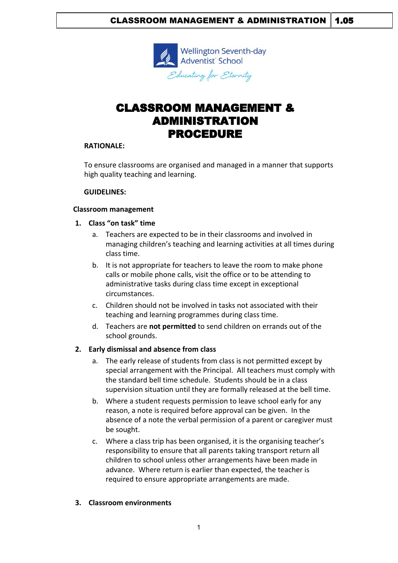

# CLASSROOM MANAGEMENT & ADMINISTRATION PROCEDURE

### **RATIONALE:**

To ensure classrooms are organised and managed in a manner that supports high quality teaching and learning.

### **GUIDELINES:**

# **Classroom management**

### **1. Class "on task" time**

- a. Teachers are expected to be in their classrooms and involved in managing children's teaching and learning activities at all times during class time.
- b. It is not appropriate for teachers to leave the room to make phone calls or mobile phone calls, visit the office or to be attending to administrative tasks during class time except in exceptional circumstances.
- c. Children should not be involved in tasks not associated with their teaching and learning programmes during class time.
- d. Teachers are **not permitted** to send children on errands out of the school grounds.

# **2. Early dismissal and absence from class**

- a. The early release of students from class is not permitted except by special arrangement with the Principal. All teachers must comply with the standard bell time schedule. Students should be in a class supervision situation until they are formally released at the bell time.
- b. Where a student requests permission to leave school early for any reason, a note is required before approval can be given. In the absence of a note the verbal permission of a parent or caregiver must be sought.
- c. Where a class trip has been organised, it is the organising teacher's responsibility to ensure that all parents taking transport return all children to school unless other arrangements have been made in advance. Where return is earlier than expected, the teacher is required to ensure appropriate arrangements are made.

# **3. Classroom environments**